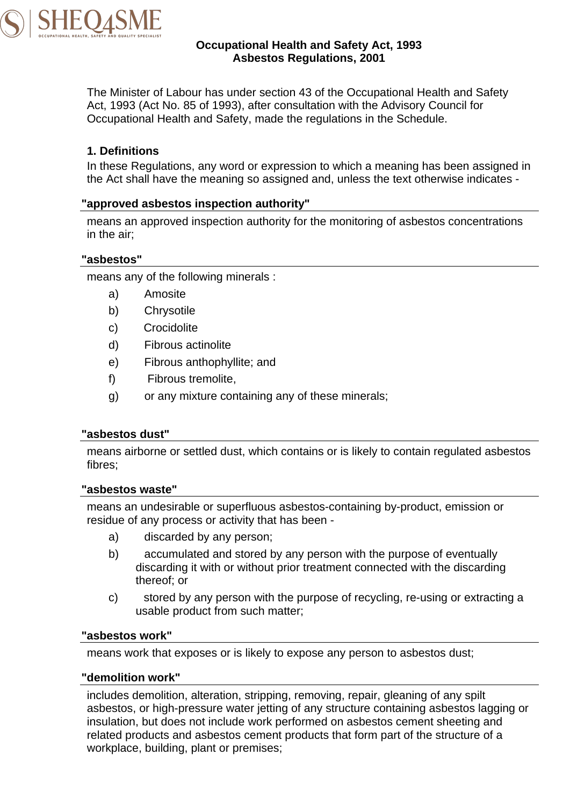

## **Occupational Health and Safety Act, 1993 Asbestos Regulations, 2001**

The Minister of Labour has under section 43 of the Occupational Health and Safety Act, 1993 (Act No. 85 of 1993), after consultation with the Advisory Council for Occupational Health and Safety, made the regulations in the Schedule.

## **1. Definitions**

In these Regulations, any word or expression to which a meaning has been assigned in the Act shall have the meaning so assigned and, unless the text otherwise indicates -

### **"approved asbestos inspection authority"**

means an approved inspection authority for the monitoring of asbestos concentrations in the air;

### **"asbestos"**

means any of the following minerals :

- a) Amosite
- b) Chrysotile
- c) Crocidolite
- d) Fibrous actinolite
- e) Fibrous anthophyllite; and
- f) Fibrous tremolite,
- g) or any mixture containing any of these minerals;

#### **"asbestos dust"**

means airborne or settled dust, which contains or is likely to contain regulated asbestos fibres;

#### **"asbestos waste"**

means an undesirable or superfluous asbestos-containing by-product, emission or residue of any process or activity that has been -

- a) discarded by any person;
- b) accumulated and stored by any person with the purpose of eventually discarding it with or without prior treatment connected with the discarding thereof; or
- c) stored by any person with the purpose of recycling, re-using or extracting a usable product from such matter;

#### **"asbestos work"**

means work that exposes or is likely to expose any person to asbestos dust;

#### **"demolition work"**

includes demolition, alteration, stripping, removing, repair, gleaning of any spilt asbestos, or high-pressure water jetting of any structure containing asbestos lagging or insulation, but does not include work performed on asbestos cement sheeting and related products and asbestos cement products that form part of the structure of a workplace, building, plant or premises;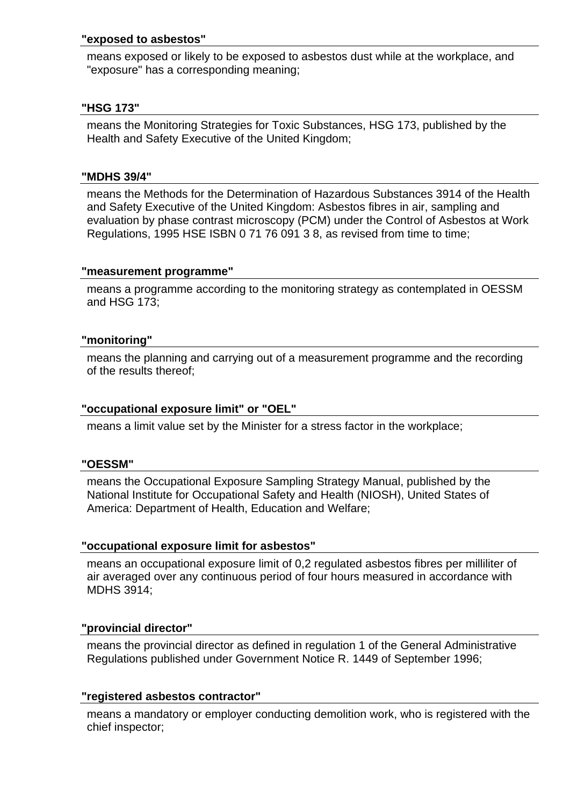#### **"exposed to asbestos"**

means exposed or likely to be exposed to asbestos dust while at the workplace, and "exposure" has a corresponding meaning;

## **"HSG 173"**

means the Monitoring Strategies for Toxic Substances, HSG 173, published by the Health and Safety Executive of the United Kingdom;

### **"MDHS 39/4"**

means the Methods for the Determination of Hazardous Substances 3914 of the Health and Safety Executive of the United Kingdom: Asbestos fibres in air, sampling and evaluation by phase contrast microscopy (PCM) under the Control of Asbestos at Work Regulations, 1995 HSE ISBN 0 71 76 091 3 8, as revised from time to time;

### **"measurement programme"**

means a programme according to the monitoring strategy as contemplated in OESSM and HSG 173;

### **"monitoring"**

means the planning and carrying out of a measurement programme and the recording of the results thereof;

## **"occupational exposure limit" or "OEL"**

means a limit value set by the Minister for a stress factor in the workplace;

## **"OESSM"**

means the Occupational Exposure Sampling Strategy Manual, published by the National Institute for Occupational Safety and Health (NIOSH), United States of America: Department of Health, Education and Welfare;

## **"occupational exposure limit for asbestos"**

means an occupational exposure limit of 0,2 regulated asbestos fibres per milliliter of air averaged over any continuous period of four hours measured in accordance with MDHS 3914;

## **"provincial director"**

means the provincial director as defined in regulation 1 of the General Administrative Regulations published under Government Notice R. 1449 of September 1996;

#### **"registered asbestos contractor"**

means a mandatory or employer conducting demolition work, who is registered with the chief inspector;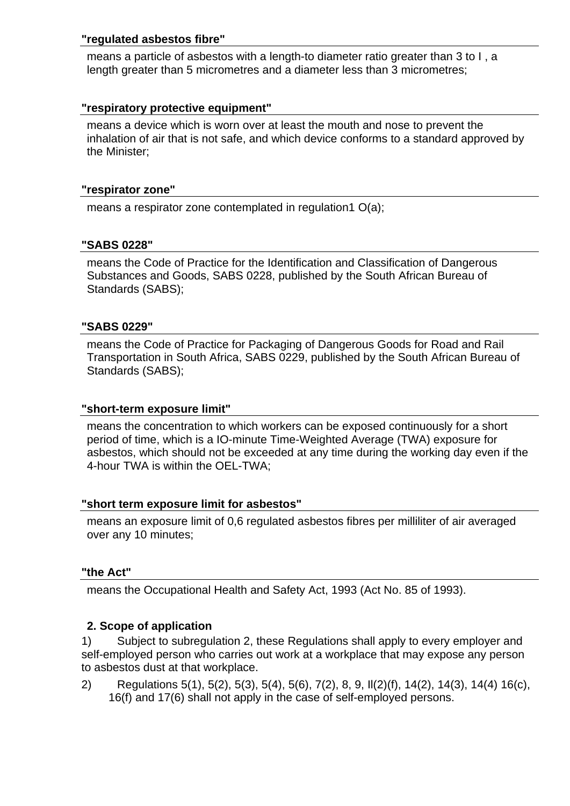### **"regulated asbestos fibre"**

means a particle of asbestos with a length-to diameter ratio greater than 3 to I , a length greater than 5 micrometres and a diameter less than 3 micrometres;

## **"respiratory protective equipment"**

means a device which is worn over at least the mouth and nose to prevent the inhalation of air that is not safe, and which device conforms to a standard approved by the Minister;

#### **"respirator zone"**

means a respirator zone contemplated in regulation1 O(a);

### **"SABS 0228"**

means the Code of Practice for the Identification and Classification of Dangerous Substances and Goods, SABS 0228, published by the South African Bureau of Standards (SABS);

#### **"SABS 0229"**

means the Code of Practice for Packaging of Dangerous Goods for Road and Rail Transportation in South Africa, SABS 0229, published by the South African Bureau of Standards (SABS);

#### **"short-term exposure limit"**

means the concentration to which workers can be exposed continuously for a short period of time, which is a IO-minute Time-Weighted Average (TWA) exposure for asbestos, which should not be exceeded at any time during the working day even if the 4-hour TWA is within the OEL-TWA;

#### **"short term exposure limit for asbestos"**

means an exposure limit of 0,6 regulated asbestos fibres per milliliter of air averaged over any 10 minutes;

#### **"the Act"**

means the Occupational Health and Safety Act, 1993 (Act No. 85 of 1993).

## **2. Scope of application**

1) Subject to subregulation 2, these Regulations shall apply to every employer and self-employed person who carries out work at a workplace that may expose any person to asbestos dust at that workplace.

2) Regulations 5(1), 5(2), 5(3), 5(4), 5(6), 7(2), 8, 9, Il(2)(f), 14(2), 14(3), 14(4) 16(c), 16(f) and 17(6) shall not apply in the case of self-employed persons.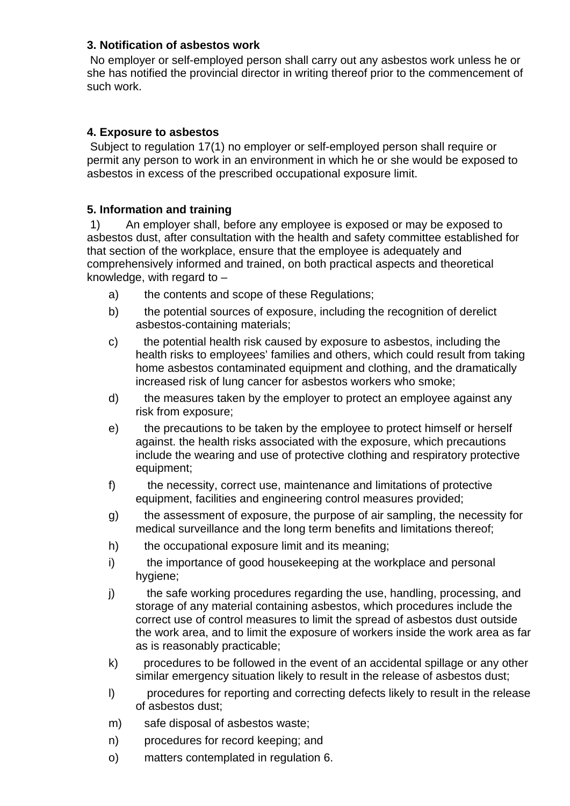## **3. Notification of asbestos work**

 No employer or self-employed person shall carry out any asbestos work unless he or she has notified the provincial director in writing thereof prior to the commencement of such work.

## **4. Exposure to asbestos**

 Subject to regulation 17(1) no employer or self-employed person shall require or permit any person to work in an environment in which he or she would be exposed to asbestos in excess of the prescribed occupational exposure limit.

## **5. Information and training**

 1) An employer shall, before any employee is exposed or may be exposed to asbestos dust, after consultation with the health and safety committee established for that section of the workplace, ensure that the employee is adequately and comprehensively informed and trained, on both practical aspects and theoretical knowledge, with regard to –

- a) the contents and scope of these Regulations;
- b) the potential sources of exposure, including the recognition of derelict asbestos-containing materials;
- c) the potential health risk caused by exposure to asbestos, including the health risks to employees' families and others, which could result from taking home asbestos contaminated equipment and clothing, and the dramatically increased risk of lung cancer for asbestos workers who smoke;
- d) the measures taken by the employer to protect an employee against any risk from exposure;
- e) the precautions to be taken by the employee to protect himself or herself against. the health risks associated with the exposure, which precautions include the wearing and use of protective clothing and respiratory protective equipment;
- f) the necessity, correct use, maintenance and limitations of protective equipment, facilities and engineering control measures provided;
- g) the assessment of exposure, the purpose of air sampling, the necessity for medical surveillance and the long term benefits and limitations thereof;
- h) the occupational exposure limit and its meaning;
- i) the importance of good housekeeping at the workplace and personal hygiene;
- j) the safe working procedures regarding the use, handling, processing, and storage of any material containing asbestos, which procedures include the correct use of control measures to limit the spread of asbestos dust outside the work area, and to limit the exposure of workers inside the work area as far as is reasonably practicable;
- k) procedures to be followed in the event of an accidental spillage or any other similar emergency situation likely to result in the release of asbestos dust;
- l) procedures for reporting and correcting defects likely to result in the release of asbestos dust;
- m) safe disposal of asbestos waste;
- n) procedures for record keeping; and
- o) matters contemplated in regulation 6.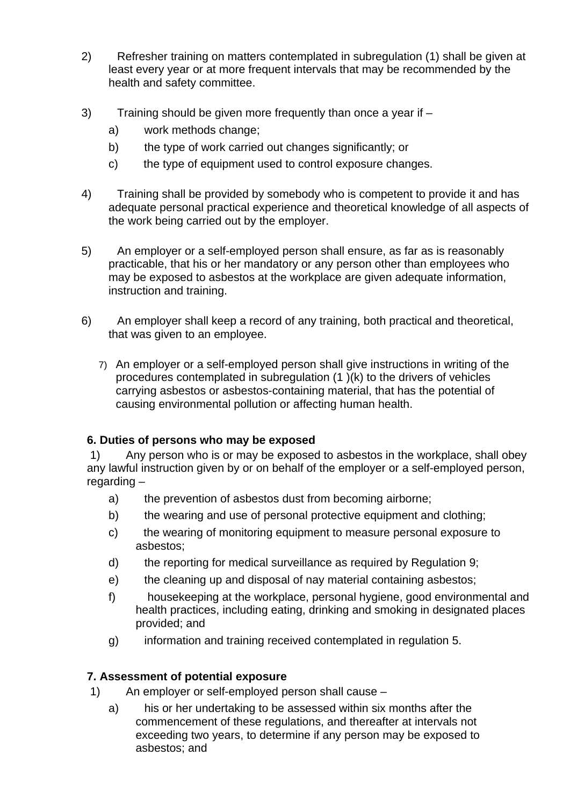- 2) Refresher training on matters contemplated in subregulation (1) shall be given at least every year or at more frequent intervals that may be recommended by the health and safety committee.
- 3) Training should be given more frequently than once a year if
	- a) work methods change;
	- b) the type of work carried out changes significantly; or
	- c) the type of equipment used to control exposure changes.
- 4) Training shall be provided by somebody who is competent to provide it and has adequate personal practical experience and theoretical knowledge of all aspects of the work being carried out by the employer.
- 5) An employer or a self-employed person shall ensure, as far as is reasonably practicable, that his or her mandatory or any person other than employees who may be exposed to asbestos at the workplace are given adequate information, instruction and training.
- 6) An employer shall keep a record of any training, both practical and theoretical, that was given to an employee.
	- 7) An employer or a self-employed person shall give instructions in writing of the procedures contemplated in subregulation (1 )(k) to the drivers of vehicles carrying asbestos or asbestos-containing material, that has the potential of causing environmental pollution or affecting human health.

# **6. Duties of persons who may be exposed**

 1) Any person who is or may be exposed to asbestos in the workplace, shall obey any lawful instruction given by or on behalf of the employer or a self-employed person, regarding -

- a) the prevention of asbestos dust from becoming airborne;
- b) the wearing and use of personal protective equipment and clothing;
- c) the wearing of monitoring equipment to measure personal exposure to asbestos;
- d) the reporting for medical surveillance as required by Regulation 9;
- e) the cleaning up and disposal of nay material containing asbestos;
- f) housekeeping at the workplace, personal hygiene, good environmental and health practices, including eating, drinking and smoking in designated places provided; and
- g) information and training received contemplated in regulation 5.

# **7. Assessment of potential exposure**

- 1) An employer or self-employed person shall cause
	- a) his or her undertaking to be assessed within six months after the commencement of these regulations, and thereafter at intervals not exceeding two years, to determine if any person may be exposed to asbestos; and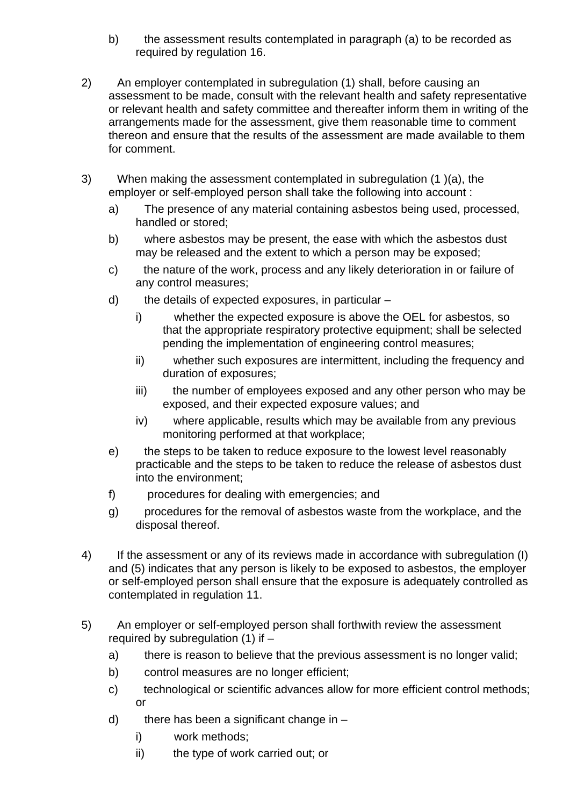- b) the assessment results contemplated in paragraph (a) to be recorded as required by regulation 16.
- 2) An employer contemplated in subregulation (1) shall, before causing an assessment to be made, consult with the relevant health and safety representative or relevant health and safety committee and thereafter inform them in writing of the arrangements made for the assessment, give them reasonable time to comment thereon and ensure that the results of the assessment are made available to them for comment.
- 3) When making the assessment contemplated in subregulation (1 )(a), the employer or self-employed person shall take the following into account :
	- a) The presence of any material containing asbestos being used, processed, handled or stored;
	- b) where asbestos may be present, the ease with which the asbestos dust may be released and the extent to which a person may be exposed;
	- c) the nature of the work, process and any likely deterioration in or failure of any control measures;
	- d) the details of expected exposures, in particular
		- i) whether the expected exposure is above the OEL for asbestos, so that the appropriate respiratory protective equipment; shall be selected pending the implementation of engineering control measures;
		- ii) whether such exposures are intermittent, including the frequency and duration of exposures;
		- iii) the number of employees exposed and any other person who may be exposed, and their expected exposure values; and
		- iv) where applicable, results which may be available from any previous monitoring performed at that workplace;
	- e) the steps to be taken to reduce exposure to the lowest level reasonably practicable and the steps to be taken to reduce the release of asbestos dust into the environment;
	- f) procedures for dealing with emergencies; and
	- g) procedures for the removal of asbestos waste from the workplace, and the disposal thereof.
- 4) If the assessment or any of its reviews made in accordance with subregulation (I) and (5) indicates that any person is likely to be exposed to asbestos, the employer or self-employed person shall ensure that the exposure is adequately controlled as contemplated in regulation 11.
- 5) An employer or self-employed person shall forthwith review the assessment required by subregulation  $(1)$  if  $$ 
	- a) there is reason to believe that the previous assessment is no longer valid;
	- b) control measures are no longer efficient;
	- c) technological or scientific advances allow for more efficient control methods; or
	- d) there has been a significant change in  $$ 
		- i) work methods;
		- ii) the type of work carried out; or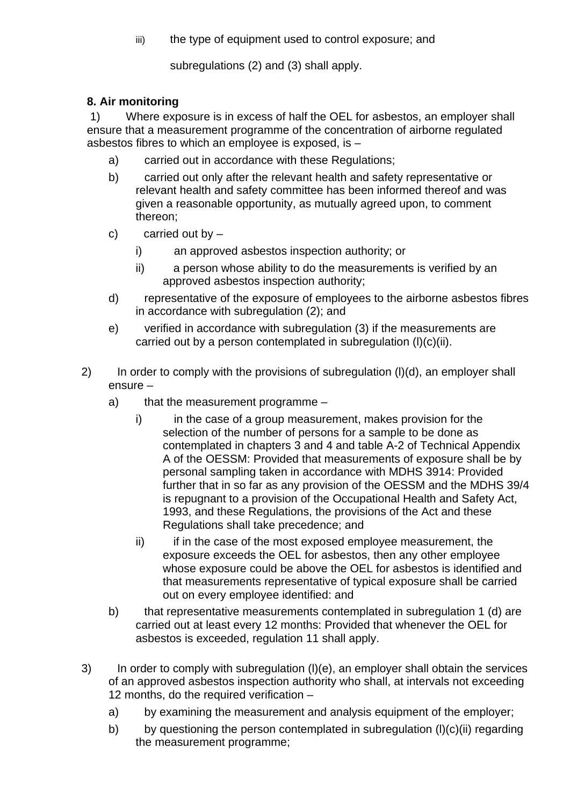iii) the type of equipment used to control exposure; and

subregulations (2) and (3) shall apply.

# **8. Air monitoring**

 1) Where exposure is in excess of half the OEL for asbestos, an employer shall ensure that a measurement programme of the concentration of airborne regulated asbestos fibres to which an employee is exposed, is –

- a) carried out in accordance with these Regulations;
- b) carried out only after the relevant health and safety representative or relevant health and safety committee has been informed thereof and was given a reasonable opportunity, as mutually agreed upon, to comment thereon;
- c) carried out by  $$ 
	- i) an approved asbestos inspection authority; or
	- ii) a person whose ability to do the measurements is verified by an approved asbestos inspection authority;
- d) representative of the exposure of employees to the airborne asbestos fibres in accordance with subregulation (2); and
- e) verified in accordance with subregulation (3) if the measurements are carried out by a person contemplated in subregulation (l)(c)(ii).
- 2) In order to comply with the provisions of subregulation (l)(d), an employer shall ensure –
	- a) that the measurement programme
		- i) in the case of a group measurement, makes provision for the selection of the number of persons for a sample to be done as contemplated in chapters 3 and 4 and table A-2 of Technical Appendix A of the OESSM: Provided that measurements of exposure shall be by personal sampling taken in accordance with MDHS 3914: Provided further that in so far as any provision of the OESSM and the MDHS 39/4 is repugnant to a provision of the Occupational Health and Safety Act, 1993, and these Regulations, the provisions of the Act and these Regulations shall take precedence; and
		- ii) ii if in the case of the most exposed employee measurement, the exposure exceeds the OEL for asbestos, then any other employee whose exposure could be above the OEL for asbestos is identified and that measurements representative of typical exposure shall be carried out on every employee identified: and
	- b) that representative measurements contemplated in subregulation 1 (d) are carried out at least every 12 months: Provided that whenever the OEL for asbestos is exceeded, regulation 11 shall apply.
- 3) In order to comply with subregulation (l)(e), an employer shall obtain the services of an approved asbestos inspection authority who shall, at intervals not exceeding 12 months, do the required verification –
	- a) by examining the measurement and analysis equipment of the employer:
	- b) by questioning the person contemplated in subregulation  $(l)(c)(ii)$  regarding the measurement programme;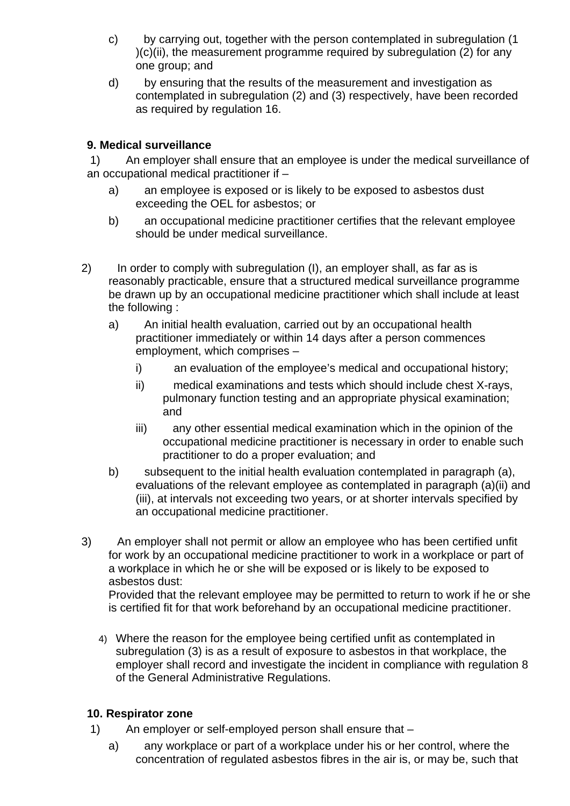- c) by carrying out, together with the person contemplated in subregulation (1  $(c)(ii)$ , the measurement programme required by subregulation (2) for any one group; and
- d) by ensuring that the results of the measurement and investigation as contemplated in subregulation (2) and (3) respectively, have been recorded as required by regulation 16.

# **9. Medical surveillance**

 1) An employer shall ensure that an employee is under the medical surveillance of an occupational medical practitioner if –

- a) an employee is exposed or is likely to be exposed to asbestos dust exceeding the OEL for asbestos; or
- b) an occupational medicine practitioner certifies that the relevant employee should be under medical surveillance.
- 2) In order to comply with subregulation (I), an employer shall, as far as is reasonably practicable, ensure that a structured medical surveillance programme be drawn up by an occupational medicine practitioner which shall include at least the following :
	- a) An initial health evaluation, carried out by an occupational health practitioner immediately or within 14 days after a person commences employment, which comprises –
		- i) an evaluation of the employee's medical and occupational history;
		- ii) medical examinations and tests which should include chest X-rays, pulmonary function testing and an appropriate physical examination; and
		- iii) any other essential medical examination which in the opinion of the occupational medicine practitioner is necessary in order to enable such practitioner to do a proper evaluation; and
	- b) subsequent to the initial health evaluation contemplated in paragraph (a), evaluations of the relevant employee as contemplated in paragraph (a)(ii) and (iii), at intervals not exceeding two years, or at shorter intervals specified by an occupational medicine practitioner.
- 3) An employer shall not permit or allow an employee who has been certified unfit for work by an occupational medicine practitioner to work in a workplace or part of a workplace in which he or she will be exposed or is likely to be exposed to asbestos dust:

Provided that the relevant employee may be permitted to return to work if he or she is certified fit for that work beforehand by an occupational medicine practitioner.

4) Where the reason for the employee being certified unfit as contemplated in subregulation (3) is as a result of exposure to asbestos in that workplace, the employer shall record and investigate the incident in compliance with regulation 8 of the General Administrative Regulations.

# **10. Respirator zone**

- 1) An employer or self-employed person shall ensure that
	- a) any workplace or part of a workplace under his or her control, where the concentration of regulated asbestos fibres in the air is, or may be, such that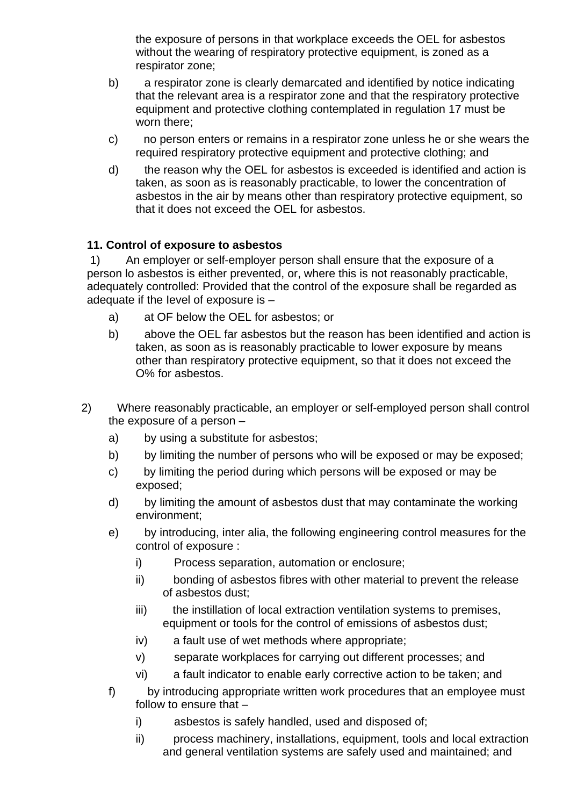the exposure of persons in that workplace exceeds the OEL for asbestos without the wearing of respiratory protective equipment, is zoned as a respirator zone;

- b) a respirator zone is clearly demarcated and identified by notice indicating that the relevant area is a respirator zone and that the respiratory protective equipment and protective clothing contemplated in regulation 17 must be worn there;
- c) no person enters or remains in a respirator zone unless he or she wears the required respiratory protective equipment and protective clothing; and
- d) the reason why the OEL for asbestos is exceeded is identified and action is taken, as soon as is reasonably practicable, to lower the concentration of asbestos in the air by means other than respiratory protective equipment, so that it does not exceed the OEL for asbestos.

## **11. Control of exposure to asbestos**

 1) An employer or self-employer person shall ensure that the exposure of a person lo asbestos is either prevented, or, where this is not reasonably practicable, adequately controlled: Provided that the control of the exposure shall be regarded as adequate if the Ievel of exposure is –

- a) at OF below the OEL for asbestos; or
- b) above the OEL far asbestos but the reason has been identified and action is taken, as soon as is reasonably practicable to lower exposure by means other than respiratory protective equipment, so that it does not exceed the O% for asbestos.
- 2) Where reasonably practicable, an employer or self-employed person shall control the exposure of a person –
	- a) by using a substitute for asbestos;
	- b) by limiting the number of persons who will be exposed or may be exposed;
	- c) by limiting the period during which persons will be exposed or may be exposed;
	- d) by limiting the amount of asbestos dust that may contaminate the working environment;
	- e) by introducing, inter alia, the following engineering control measures for the control of exposure :
		- i) Process separation, automation or enclosure;
		- ii) bonding of asbestos fibres with other material to prevent the release of asbestos dust;
		- iii) the instillation of local extraction ventilation systems to premises, equipment or tools for the control of emissions of asbestos dust;
		- iv) a fault use of wet methods where appropriate;
		- v) separate workplaces for carrying out different processes; and
		- vi) a fault indicator to enable early corrective action to be taken; and
	- f) by introducing appropriate written work procedures that an employee must follow to ensure that –
		- i) asbestos is safely handled, used and disposed of;
		- ii) process machinery, installations, equipment, tools and local extraction and general ventilation systems are safely used and maintained; and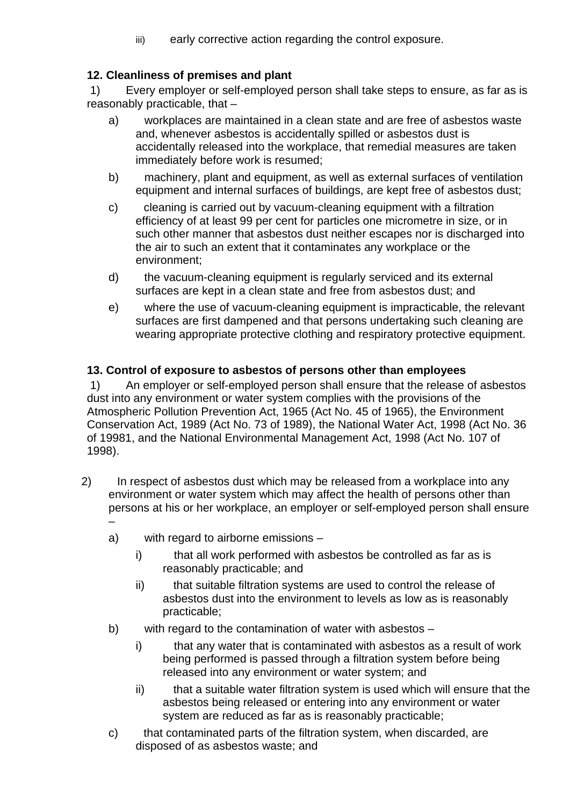iii) early corrective action regarding the control exposure.

# **12. Cleanliness of premises and plant**

 1) Every employer or self-employed person shall take steps to ensure, as far as is reasonably practicable, that –

- a) workplaces are maintained in a clean state and are free of asbestos waste and, whenever asbestos is accidentally spilled or asbestos dust is accidentally released into the workplace, that remedial measures are taken immediately before work is resumed;
- b) machinery, plant and equipment, as well as external surfaces of ventilation equipment and internal surfaces of buildings, are kept free of asbestos dust;
- c) cleaning is carried out by vacuum-cleaning equipment with a filtration efficiency of at least 99 per cent for particles one micrometre in size, or in such other manner that asbestos dust neither escapes nor is discharged into the air to such an extent that it contaminates any workplace or the environment;
- d) the vacuum-cleaning equipment is regularly serviced and its external surfaces are kept in a clean state and free from asbestos dust; and
- e) where the use of vacuum-cleaning equipment is impracticable, the relevant surfaces are first dampened and that persons undertaking such cleaning are wearing appropriate protective clothing and respiratory protective equipment.

# **13. Control of exposure to asbestos of persons other than employees**

 1) An employer or self-employed person shall ensure that the release of asbestos dust into any environment or water system complies with the provisions of the Atmospheric Pollution Prevention Act, 1965 (Act No. 45 of 1965), the Environment Conservation Act, 1989 (Act No. 73 of 1989), the National Water Act, 1998 (Act No. 36 of 19981, and the National Environmental Management Act, 1998 (Act No. 107 of 1998).

- 2) In respect of asbestos dust which may be released from a workplace into any environment or water system which may affect the health of persons other than persons at his or her workplace, an employer or self-employed person shall ensure –
	- a) with regard to airborne emissions
		- i) that all work performed with asbestos be controlled as far as is reasonably practicable; and
		- ii) that suitable filtration systems are used to control the release of asbestos dust into the environment to levels as low as is reasonably practicable;
	- b) with regard to the contamination of water with asbestos
		- i) that any water that is contaminated with asbestos as a result of work being performed is passed through a filtration system before being released into any environment or water system; and
		- ii) that a suitable water filtration system is used which will ensure that the asbestos being released or entering into any environment or water system are reduced as far as is reasonably practicable;
	- c) that contaminated parts of the filtration system, when discarded, are disposed of as asbestos waste; and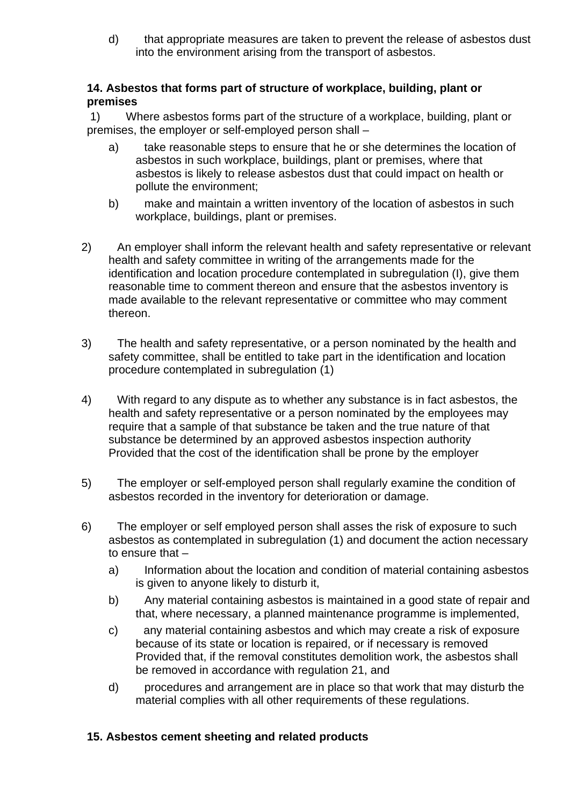d) that appropriate measures are taken to prevent the release of asbestos dust into the environment arising from the transport of asbestos.

## **14. Asbestos that forms part of structure of workplace, building, plant or premises**

 1) Where asbestos forms part of the structure of a workplace, building, plant or premises, the employer or self-employed person shall –

- a) take reasonable steps to ensure that he or she determines the location of asbestos in such workplace, buildings, plant or premises, where that asbestos is likely to release asbestos dust that could impact on health or pollute the environment;
- b) make and maintain a written inventory of the location of asbestos in such workplace, buildings, plant or premises.
- 2) An employer shall inform the relevant health and safety representative or relevant health and safety committee in writing of the arrangements made for the identification and location procedure contemplated in subregulation (I), give them reasonable time to comment thereon and ensure that the asbestos inventory is made available to the relevant representative or committee who may comment thereon.
- 3) The health and safety representative, or a person nominated by the health and safety committee, shall be entitled to take part in the identification and location procedure contemplated in subregulation (1)
- 4) With regard to any dispute as to whether any substance is in fact asbestos, the health and safety representative or a person nominated by the employees may require that a sample of that substance be taken and the true nature of that substance be determined by an approved asbestos inspection authority Provided that the cost of the identification shall be prone by the employer
- 5) The employer or self-employed person shall regularly examine the condition of asbestos recorded in the inventory for deterioration or damage.
- 6) The employer or self employed person shall asses the risk of exposure to such asbestos as contemplated in subregulation (1) and document the action necessary to ensure that –
	- a) Information about the location and condition of material containing asbestos is given to anyone likely to disturb it,
	- b) Any material containing asbestos is maintained in a good state of repair and that, where necessary, a planned maintenance programme is implemented,
	- c) any material containing asbestos and which may create a risk of exposure because of its state or location is repaired, or if necessary is removed Provided that, if the removal constitutes demolition work, the asbestos shall be removed in accordance with regulation 21, and
	- d) procedures and arrangement are in place so that work that may disturb the material complies with all other requirements of these regulations.

# **15. Asbestos cement sheeting and related products**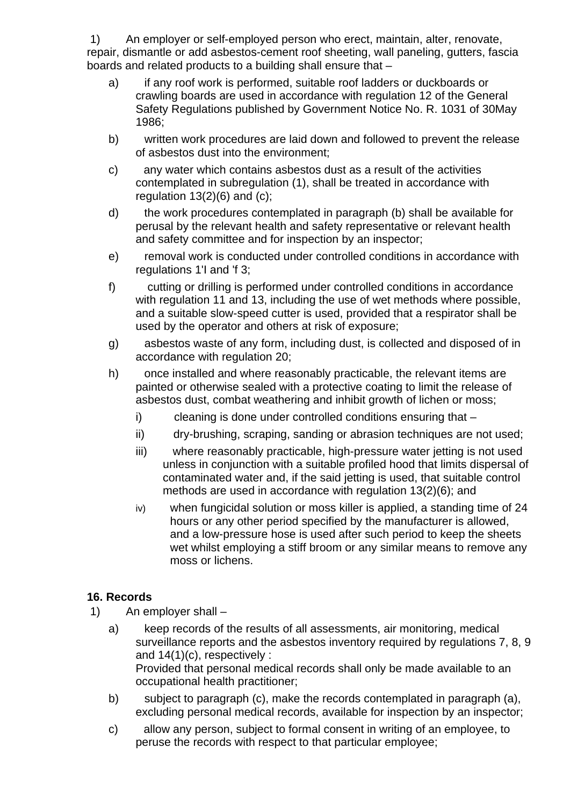1) An employer or self-employed person who erect, maintain, alter, renovate, repair, dismantle or add asbestos-cement roof sheeting, wall paneling, gutters, fascia boards and related products to a building shall ensure that –

- a) if any roof work is performed, suitable roof ladders or duckboards or crawling boards are used in accordance with regulation 12 of the General Safety Regulations published by Government Notice No. R. 1031 of 30May 1986;
- b) written work procedures are laid down and followed to prevent the release of asbestos dust into the environment;
- c) any water which contains asbestos dust as a result of the activities contemplated in subregulation (1), shall be treated in accordance with regulation  $13(2)(6)$  and  $(c)$ ;
- d) the work procedures contemplated in paragraph (b) shall be available for perusal by the relevant health and safety representative or relevant health and safety committee and for inspection by an inspector;
- e) removal work is conducted under controlled conditions in accordance with regulations 1'I and 'f 3;
- f) cutting or drilling is performed under controlled conditions in accordance with regulation 11 and 13, including the use of wet methods where possible. and a suitable slow-speed cutter is used, provided that a respirator shall be used by the operator and others at risk of exposure;
- g) asbestos waste of any form, including dust, is collected and disposed of in accordance with regulation 20;
- h) once installed and where reasonably practicable, the relevant items are painted or otherwise sealed with a protective coating to limit the release of asbestos dust, combat weathering and inhibit growth of lichen or moss;
	- i) cleaning is done under controlled conditions ensuring that –
	- ii) dry-brushing, scraping, sanding or abrasion techniques are not used;
	- iii) where reasonably practicable, high-pressure water jetting is not used unless in conjunction with a suitable profiled hood that limits dispersal of contaminated water and, if the said jetting is used, that suitable control methods are used in accordance with regulation 13(2)(6); and
	- iv) when fungicidal solution or moss killer is applied, a standing time of 24 hours or any other period specified by the manufacturer is allowed, and a low-pressure hose is used after such period to keep the sheets wet whilst employing a stiff broom or any similar means to remove any moss or lichens.

# **16. Records**

- 1) An employer shall
	- a) keep records of the results of all assessments, air monitoring, medical surveillance reports and the asbestos inventory required by regulations 7, 8, 9 and 14(1)(c), respectively : Provided that personal medical records shall only be made available to an occupational health practitioner;
	- b) subject to paragraph (c), make the records contemplated in paragraph (a), excluding personal medical records, available for inspection by an inspector;
	- c) allow any person, subject to formal consent in writing of an employee, to peruse the records with respect to that particular employee;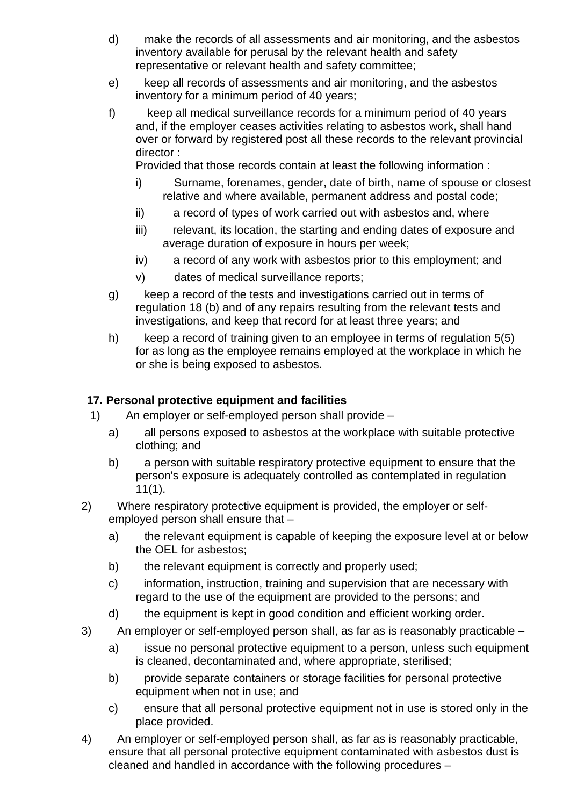- d) make the records of all assessments and air monitoring, and the asbestos inventory available for perusal by the relevant health and safety representative or relevant health and safety committee;
- e) keep all records of assessments and air monitoring, and the asbestos inventory for a minimum period of 40 years;
- f) keep all medical surveillance records for a minimum period of 40 years and, if the employer ceases activities relating to asbestos work, shall hand over or forward by registered post all these records to the relevant provincial director :

Provided that those records contain at least the following information :

- i) Surname, forenames, gender, date of birth, name of spouse or closest relative and where available, permanent address and postal code;
- ii) a record of types of work carried out with asbestos and, where
- iii) relevant, its location, the starting and ending dates of exposure and average duration of exposure in hours per week;
- iv) a record of any work with asbestos prior to this employment; and
- v) dates of medical surveillance reports;
- g) keep a record of the tests and investigations carried out in terms of regulation 18 (b) and of any repairs resulting from the relevant tests and investigations, and keep that record for at least three years; and
- h) keep a record of training given to an employee in terms of regulation 5(5) for as long as the employee remains employed at the workplace in which he or she is being exposed to asbestos.

## **17. Personal protective equipment and facilities**

- 1) An employer or self-employed person shall provide
	- a) all persons exposed to asbestos at the workplace with suitable protective clothing; and
	- b) a person with suitable respiratory protective equipment to ensure that the person's exposure is adequately controlled as contemplated in regulation 11(1).
- 2) Where respiratory protective equipment is provided, the employer or selfemployed person shall ensure that –
	- a) the relevant equipment is capable of keeping the exposure level at or below the OEL for asbestos;
	- b) the relevant equipment is correctly and properly used;
	- c) information, instruction, training and supervision that are necessary with regard to the use of the equipment are provided to the persons; and
	- d) the equipment is kept in good condition and efficient working order.
- 3) An employer or self-employed person shall, as far as is reasonably practicable
	- a) issue no personal protective equipment to a person, unless such equipment is cleaned, decontaminated and, where appropriate, sterilised;
	- b) provide separate containers or storage facilities for personal protective equipment when not in use; and
	- c) ensure that all personal protective equipment not in use is stored only in the place provided.
- 4) An employer or self-employed person shall, as far as is reasonably practicable, ensure that all personal protective equipment contaminated with asbestos dust is cleaned and handled in accordance with the following procedures –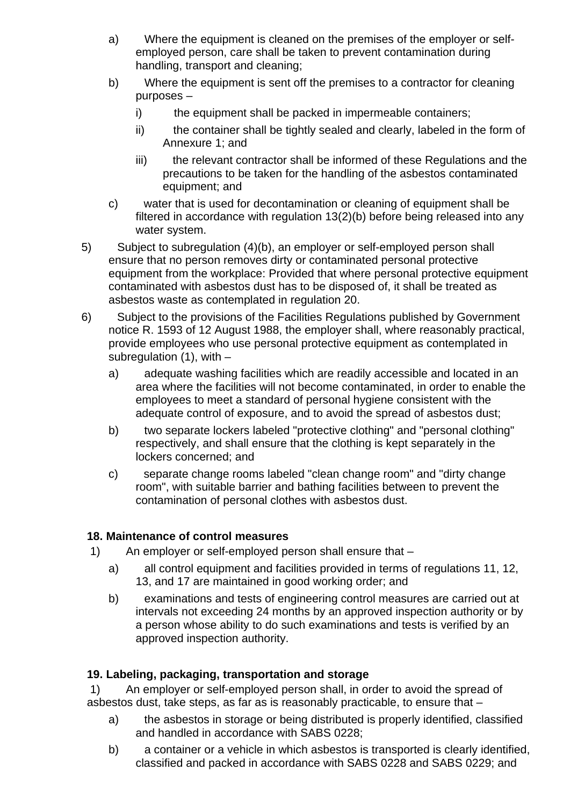- a) Where the equipment is cleaned on the premises of the employer or selfemployed person, care shall be taken to prevent contamination during handling, transport and cleaning;
- b) Where the equipment is sent off the premises to a contractor for cleaning purposes –
	- i) the equipment shall be packed in impermeable containers;
	- ii) the container shall be tightly sealed and clearly, labeled in the form of Annexure 1; and
	- iii) the relevant contractor shall be informed of these Regulations and the precautions to be taken for the handling of the asbestos contaminated equipment; and
- c) water that is used for decontamination or cleaning of equipment shall be filtered in accordance with regulation 13(2)(b) before being released into any water system.
- 5) Subject to subregulation (4)(b), an employer or self-employed person shall ensure that no person removes dirty or contaminated personal protective equipment from the workplace: Provided that where personal protective equipment contaminated with asbestos dust has to be disposed of, it shall be treated as asbestos waste as contemplated in regulation 20.
- 6) Subject to the provisions of the Facilities Regulations published by Government notice R. 1593 of 12 August 1988, the employer shall, where reasonably practical, provide employees who use personal protective equipment as contemplated in subregulation  $(1)$ , with  $$ 
	- a) adequate washing facilities which are readily accessible and located in an area where the facilities will not become contaminated, in order to enable the employees to meet a standard of personal hygiene consistent with the adequate control of exposure, and to avoid the spread of asbestos dust;
	- b) two separate lockers labeled "protective clothing" and "personal clothing" respectively, and shall ensure that the clothing is kept separately in the lockers concerned; and
	- c) separate change rooms labeled "clean change room" and "dirty change room", with suitable barrier and bathing facilities between to prevent the contamination of personal clothes with asbestos dust.

# **18. Maintenance of control measures**

- 1) An employer or self-employed person shall ensure that
	- a) all control equipment and facilities provided in terms of regulations 11, 12, 13, and 17 are maintained in good working order; and
	- b) examinations and tests of engineering control measures are carried out at intervals not exceeding 24 months by an approved inspection authority or by a person whose ability to do such examinations and tests is verified by an approved inspection authority.

# **19. Labeling, packaging, transportation and storage**

 1) An employer or self-employed person shall, in order to avoid the spread of asbestos dust, take steps, as far as is reasonably practicable, to ensure that –

- a) the asbestos in storage or being distributed is properly identified, classified and handled in accordance with SABS 0228;
- b) a container or a vehicle in which asbestos is transported is clearly identified, classified and packed in accordance with SABS 0228 and SABS 0229; and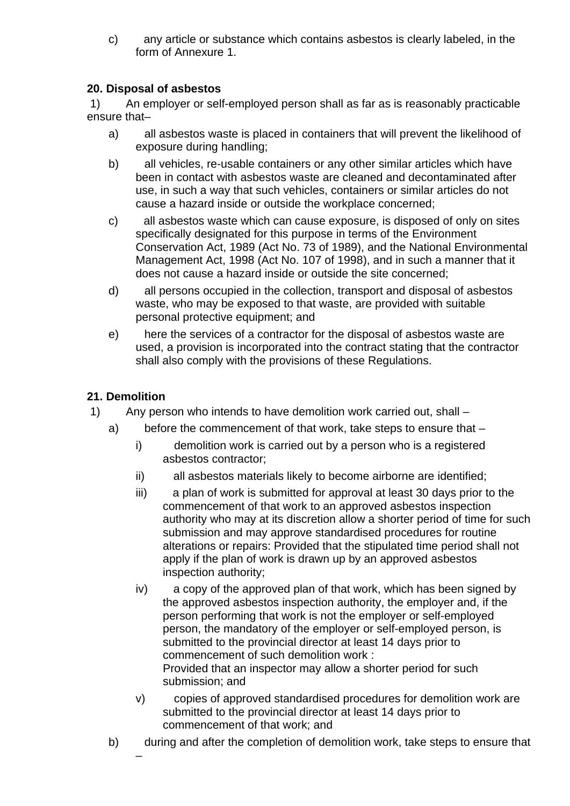c) any article or substance which contains asbestos is clearly labeled, in the form of Annexure 1.

# **20. Disposal of asbestos**

 1) An employer or self-employed person shall as far as is reasonably practicable ensure that–

- a) all asbestos waste is placed in containers that will prevent the likelihood of exposure during handling;
- b) all vehicles, re-usable containers or any other similar articles which have been in contact with asbestos waste are cleaned and decontaminated after use, in such a way that such vehicles, containers or similar articles do not cause a hazard inside or outside the workplace concerned;
- c) all asbestos waste which can cause exposure, is disposed of only on sites specifically designated for this purpose in terms of the Environment Conservation Act, 1989 (Act No. 73 of 1989), and the National Environmental Management Act, 1998 (Act No. 107 of 1998), and in such a manner that it does not cause a hazard inside or outside the site concerned;
- d) all persons occupied in the collection, transport and disposal of asbestos waste, who may be exposed to that waste, are provided with suitable personal protective equipment; and
- e) here the services of a contractor for the disposal of asbestos waste are used, a provision is incorporated into the contract stating that the contractor shall also comply with the provisions of these Regulations.

# **21. Demolition**

–

- 1) Any person who intends to have demolition work carried out, shall
	- a) before the commencement of that work, take steps to ensure that
		- i) demolition work is carried out by a person who is a registered asbestos contractor;
		- ii) all asbestos materials likely to become airborne are identified;
		- iii) a plan of work is submitted for approval at least 30 days prior to the commencement of that work to an approved asbestos inspection authority who may at its discretion allow a shorter period of time for such submission and may approve standardised procedures for routine alterations or repairs: Provided that the stipulated time period shall not apply if the plan of work is drawn up by an approved asbestos inspection authority;
		- iv) a copy of the approved plan of that work, which has been signed by the approved asbestos inspection authority, the employer and, if the person performing that work is not the employer or self-employed person, the mandatory of the employer or self-employed person, is submitted to the provincial director at least 14 days prior to commencement of such demolition work : Provided that an inspector may allow a shorter period for such submission; and
		- v) copies of approved standardised procedures for demolition work are submitted to the provincial director at least 14 days prior to commencement of that work; and
		- b) during and after the completion of demolition work, take steps to ensure that